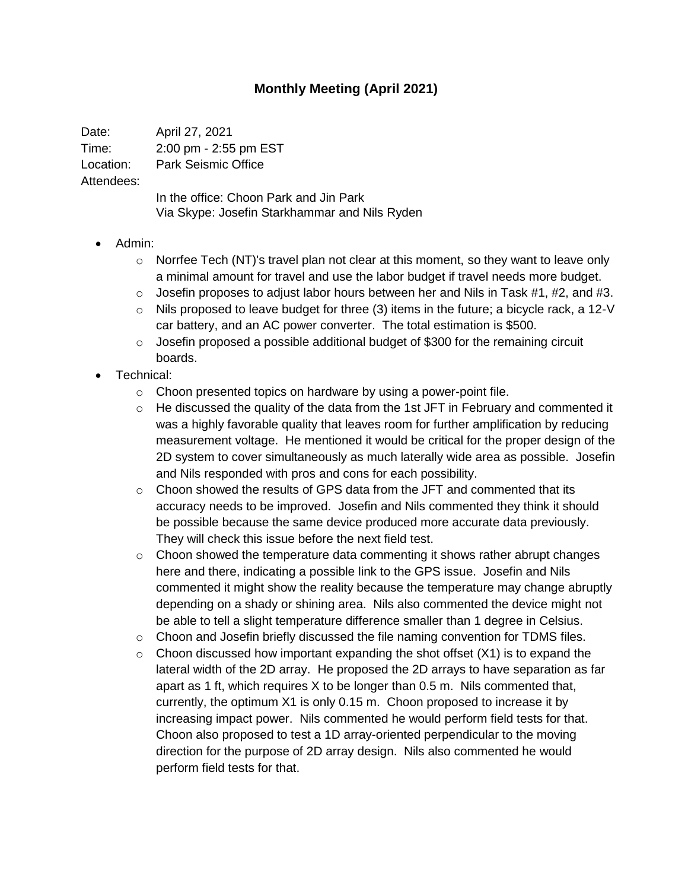## **Monthly Meeting (April 2021)**

Date: April 27, 2021 Time: 2:00 pm - 2:55 pm EST Location: Park Seismic Office Attendees: In the office: Choon Park and Jin Park

Via Skype: Josefin Starkhammar and Nils Ryden

## • Admin:

- $\circ$  Norrfee Tech (NT)'s travel plan not clear at this moment, so they want to leave only a minimal amount for travel and use the labor budget if travel needs more budget.
- $\circ$  Josefin proposes to adjust labor hours between her and Nils in Task #1, #2, and #3.
- o Nils proposed to leave budget for three (3) items in the future; a bicycle rack, a 12-V car battery, and an AC power converter. The total estimation is \$500.
- $\circ$  Josefin proposed a possible additional budget of \$300 for the remaining circuit boards.
- Technical:
	- o Choon presented topics on hardware by using a power-point file.
	- o He discussed the quality of the data from the 1st JFT in February and commented it was a highly favorable quality that leaves room for further amplification by reducing measurement voltage. He mentioned it would be critical for the proper design of the 2D system to cover simultaneously as much laterally wide area as possible. Josefin and Nils responded with pros and cons for each possibility.
	- $\circ$  Choon showed the results of GPS data from the JFT and commented that its accuracy needs to be improved. Josefin and Nils commented they think it should be possible because the same device produced more accurate data previously. They will check this issue before the next field test.
	- $\circ$  Choon showed the temperature data commenting it shows rather abrupt changes here and there, indicating a possible link to the GPS issue. Josefin and Nils commented it might show the reality because the temperature may change abruptly depending on a shady or shining area. Nils also commented the device might not be able to tell a slight temperature difference smaller than 1 degree in Celsius.
	- $\circ$  Choon and Josefin briefly discussed the file naming convention for TDMS files.
	- $\circ$  Choon discussed how important expanding the shot offset (X1) is to expand the lateral width of the 2D array. He proposed the 2D arrays to have separation as far apart as 1 ft, which requires X to be longer than 0.5 m. Nils commented that, currently, the optimum X1 is only 0.15 m. Choon proposed to increase it by increasing impact power. Nils commented he would perform field tests for that. Choon also proposed to test a 1D array-oriented perpendicular to the moving direction for the purpose of 2D array design. Nils also commented he would perform field tests for that.